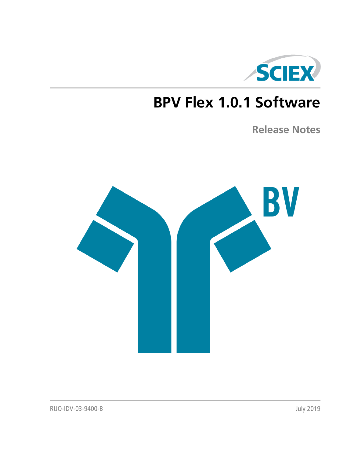

# **BPV Flex 1.0.1 Software**

**Release Notes**

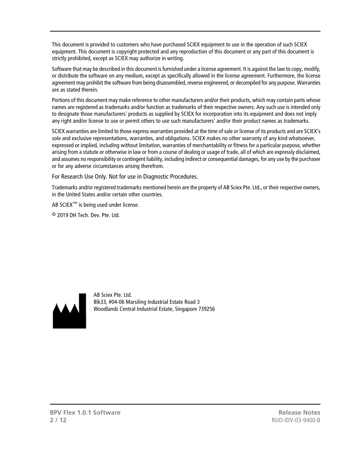This document is provided to customers who have purchased SCIEX equipment to use in the operation of such SCIEX equipment. This document is copyright protected and any reproduction of this document or any part of this document is strictly prohibited, except as SCIEX may authorize in writing.

Software that may be described in this document is furnished under a license agreement. It is against the law to copy, modify, or distribute the software on any medium, except as specifically allowed in the license agreement. Furthermore, the license agreement may prohibit the software from being disassembled, reverse engineered, or decompiled for any purpose. Warranties are as stated therein.

Portions of this document may make reference to other manufacturers and/or their products, which may contain parts whose names are registered as trademarks and/or function as trademarks of their respective owners. Any such use is intended only to designate those manufacturers' products as supplied by SCIEX for incorporation into its equipment and does not imply any right and/or license to use or permit others to use such manufacturers' and/or their product names as trademarks.

SCIEX warranties are limited to those express warranties provided at the time of sale or license of its products and are SCIEX's sole and exclusive representations, warranties, and obligations. SCIEX makes no other warranty of any kind whatsoever, expressed or implied, including without limitation, warranties of merchantability or fitness for a particular purpose, whether arising from a statute or otherwise in law or from a course of dealing or usage of trade, all of which are expressly disclaimed, and assumes no responsibility or contingent liability, including indirect or consequential damages, for any use by the purchaser or for any adverse circumstances arising therefrom.

For Research Use Only. Not for use in Diagnostic Procedures.

Trademarks and/or registered trademarks mentioned herein are the property of AB Sciex Pte. Ltd., or their respective owners, in the United States and/or certain other countries.

AB SCIEX™ is being used under license.

© 2019 DH Tech. Dev. Pte. Ltd.



AB Sciex Pte. Ltd. Blk33, #04-06 Marsiling Industrial Estate Road 3 Woodlands Central Industrial Estate, Singapore 739256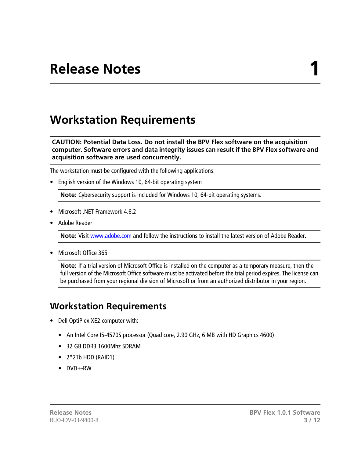## **Workstation Requirements**

**CAUTION: Potential Data Loss. Do not install the BPV Flex software on the acquisition computer. Software errors and data integrity issues can result if the BPV Flex software and acquisition software are used concurrently.**

The workstation must be configured with the following applications:

• English version of the Windows 10, 64-bit operating system

**Note:** Cybersecurity support is included for Windows 10, 64-bit operating systems.

- Microsoft .NFT Framework 4.6.2
- Adobe Reader

**Note:** Visit<www.adobe.com>and follow the instructions to install the latest version of Adobe Reader.

• Microsoft Office 365

**Note:** If a trial version of Microsoft Office is installed on the computer as a temporary measure, then the full version of the Microsoft Office software must be activated before the trial period expires. The license can be purchased from your regional division of Microsoft or from an authorized distributor in your region.

### **Workstation Requirements**

- Dell OptiPlex XE2 computer with:
	- An Intel Core I5-4570S processor (Quad core, 2.90 GHz, 6 MB with HD Graphics 4600)
	- 32 GB DDR3 1600Mhz SDRAM
	- 2\*2Tb HDD (RAID1)
	- DVD+-RW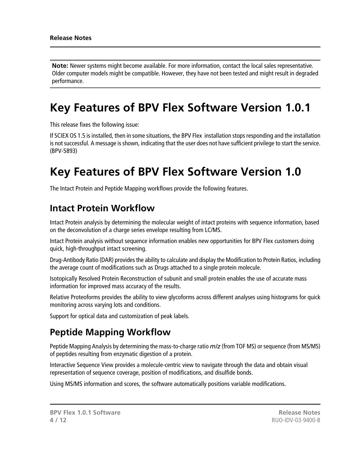**Note:** Newer systems might become available. For more information, contact the local sales representative. Older computer models might be compatible. However, they have not been tested and might result in degraded performance.

## **Key Features of BPV Flex Software Version 1.0.1**

This release fixes the following issue:

If SCIEX OS 1.5 is installed, then in some situations, the BPV Flex installation stops responding and the installation is not successful. A message is shown, indicating that the user does not have sufficient privilege to start the service. (BPV-5893)

## **Key Features of BPV Flex Software Version 1.0**

The Intact Protein and Peptide Mapping workflows provide the following features.

### **Intact Protein Workflow**

Intact Protein analysis by determining the molecular weight of intact proteins with sequence information, based on the deconvolution of a charge series envelope resulting from LC/MS.

Intact Protein analysis without sequence information enables new opportunities for BPV Flex customers doing quick, high-throughput intact screening.

Drug-Antibody Ratio (DAR) provides the ability to calculate and display the Modification to Protein Ratios, including the average count of modifications such as Drugs attached to a single protein molecule.

Isotopically Resolved Protein Reconstruction of subunit and small protein enables the use of accurate mass information for improved mass accuracy of the results.

Relative Proteoforms provides the ability to view glycoforms across different analyses using histograms for quick monitoring across varying lots and conditions.

Support for optical data and customization of peak labels.

### **Peptide Mapping Workflow**

Peptide Mapping Analysis by determining the mass-to-charge ratio *m/z* (from TOF MS) or sequence (from MS/MS) of peptides resulting from enzymatic digestion of a protein.

Interactive Sequence View provides a molecule-centric view to navigate through the data and obtain visual representation of sequence coverage, position of modifications, and disulfide bonds.

Using MS/MS information and scores, the software automatically positions variable modifications.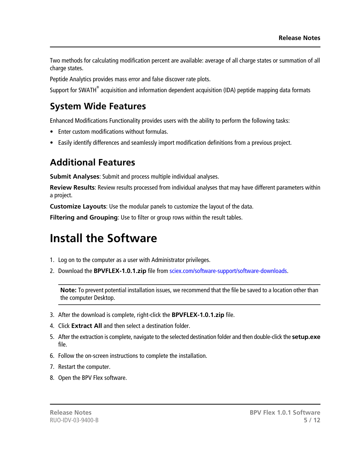Two methods for calculating modification percent are available: average of all charge states or summation of all charge states.

Peptide Analytics provides mass error and false discover rate plots.

Support for SWATH<sup>®</sup> acquisition and information dependent acquisition (IDA) peptide mapping data formats

### **System Wide Features**

Enhanced Modifications Functionality provides users with the ability to perform the following tasks:

- Enter custom modifications without formulas.
- Easily identify differences and seamlessly import modification definitions from a previous project.

### **Additional Features**

**Submit Analyses**: Submit and process multiple individual analyses.

**Review Results**: Review results processed from individual analyses that may have different parameters within a project.

**Customize Layouts**: Use the modular panels to customize the layout of the data.

**Filtering and Grouping**: Use to filter or group rows within the result tables.

## **Install the Software**

- 1. Log on to the computer as a user with Administrator privileges.
- 2. Download the **BPVFLEX-1.0.1.zip** file from [sciex.com/software-support/software-downloads.](https://sciex.com/software-support/software-downloads)

**Note:** To prevent potential installation issues, we recommend that the file be saved to a location other than the computer Desktop.

- 3. After the download is complete, right-click the **BPVFLEX-1.0.1.zip** file.
- 4. Click **Extract All** and then select a destination folder.
- 5. After the extraction is complete, navigate to the selected destination folder and then double-click the **setup.exe** file.
- 6. Follow the on-screen instructions to complete the installation.
- 7. Restart the computer.
- 8. Open the BPV Flex software.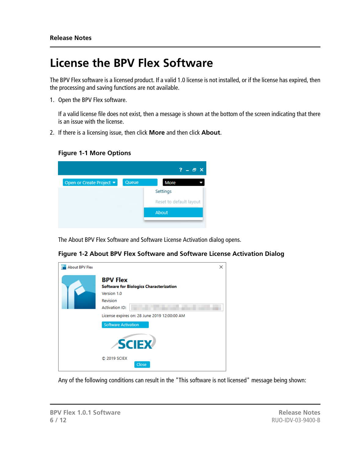## **License the BPV Flex Software**

The BPV Flex software is a licensed product. If a valid 1.0 license is not installed, or if the license has expired, then the processing and saving functions are not available.

1. Open the BPV Flex software.

If a valid license file does not exist, then a message is shown at the bottom of the screen indicating that there is an issue with the license.

2. If there is a licensing issue, then click **More** and then click **About**.

#### **Figure 1-1 More Options**

|                          |       | $? - P X$               |
|--------------------------|-------|-------------------------|
| Open or Create Project v | Queue | More                    |
|                          |       | Settings                |
|                          |       | Reset to default layout |
|                          |       | About                   |

The About BPV Flex Software and Software License Activation dialog opens.

| <b>About BPV Flex</b> | ×                                                                                            |
|-----------------------|----------------------------------------------------------------------------------------------|
|                       | <b>BPV Flex</b><br><b>Software for Biologics Characterization</b><br>Version 1.0<br>Revision |
|                       | <b>Activation ID:</b>                                                                        |
|                       | License expires on: 28 June 2019 12:00:00 AM                                                 |
|                       | <b>Software Activation</b>                                                                   |
|                       | <b>SCIEX</b>                                                                                 |
|                       | C 2019 SCIEX<br>Close                                                                        |

**Figure 1-2 About BPV Flex Software and Software License Activation Dialog**

Any of the following conditions can result in the "This software is not licensed" message being shown: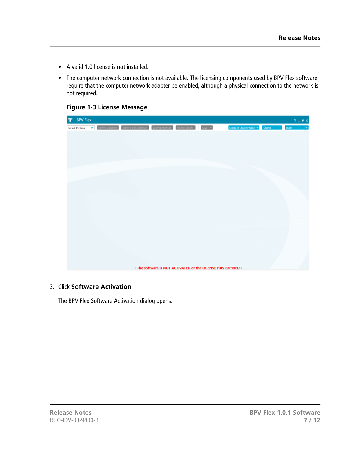- A valid 1.0 license is not installed.
- The computer network connection is not available. The licensing components used by BPV Flex software require that the computer network adapter be enabled, although a physical connection to the network is not required.

**Figure 1-3 License Message**

| <b>n</b> | <b>BPV Flex</b>       |           |                                                                                      |  |                                                              |       | $? - ∅ X$  |
|----------|-----------------------|-----------|--------------------------------------------------------------------------------------|--|--------------------------------------------------------------|-------|------------|
|          | <b>Intact Protein</b> | $\bullet$ | Define Molecule   Explore and Optimize   Submit Analyses   Review Results   Save   v |  | Open or Create Project *                                     | Queue | More<br>¥. |
|          |                       |           |                                                                                      |  |                                                              |       |            |
|          |                       |           |                                                                                      |  |                                                              |       |            |
|          |                       |           |                                                                                      |  |                                                              |       |            |
|          |                       |           |                                                                                      |  |                                                              |       |            |
|          |                       |           |                                                                                      |  |                                                              |       |            |
|          |                       |           |                                                                                      |  |                                                              |       |            |
|          |                       |           |                                                                                      |  |                                                              |       |            |
|          |                       |           |                                                                                      |  |                                                              |       |            |
|          |                       |           |                                                                                      |  |                                                              |       |            |
|          |                       |           |                                                                                      |  |                                                              |       |            |
|          |                       |           |                                                                                      |  |                                                              |       |            |
|          |                       |           |                                                                                      |  |                                                              |       |            |
|          |                       |           |                                                                                      |  |                                                              |       |            |
|          |                       |           |                                                                                      |  |                                                              |       |            |
|          |                       |           |                                                                                      |  | I The software is NOT ACTIVATED or the LICENSE HAS EXPIRED 1 |       |            |

#### 3. Click **Software Activation**.

The BPV Flex Software Activation dialog opens.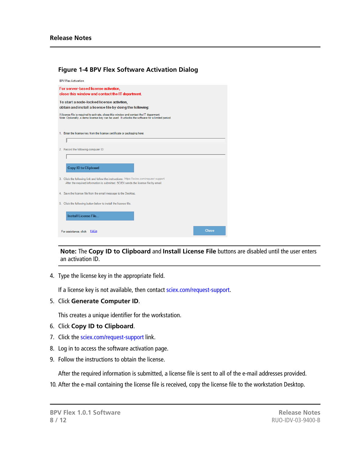| <b>BPV Flex Activation</b>                                                                                                                                                                 |       |  |  |  |
|--------------------------------------------------------------------------------------------------------------------------------------------------------------------------------------------|-------|--|--|--|
| For server-based license activation,<br>close this window and contact the IT department.                                                                                                   |       |  |  |  |
| To start a node-locked license activition,<br>obtain and install a license file by doing the following:                                                                                    |       |  |  |  |
| A license file is required to activate, close this window and contact the IT deparment.<br>Note: Optionally, a demo license key can be used. It unlocks the software for a limited period. |       |  |  |  |
| 1. Enter the license key from the license certificate or packaging here:<br>I                                                                                                              |       |  |  |  |
| 2. Record the following computer ID:                                                                                                                                                       |       |  |  |  |
| <b>Copy ID to Clipboard</b>                                                                                                                                                                |       |  |  |  |
| 3. Click the following link and follow the instructions: https://sciex.com/request-support<br>After the required information is submitted, SCIEX sends the license file by email.          |       |  |  |  |
| 4. Save the license file from the email message to the Desktop.                                                                                                                            |       |  |  |  |
| 5. Click the following button below to install the license file.                                                                                                                           |       |  |  |  |
| Install License File                                                                                                                                                                       |       |  |  |  |
| For assistance, click <b>FAQs</b>                                                                                                                                                          | Close |  |  |  |

**Figure 1-4 BPV Flex Software Activation Dialog**

**Note:** The **Copy ID to Clipboard** and **Install License File** buttons are disabled until the user enters an activation ID.

4. Type the license key in the appropriate field.

If a license key is not available, then contact [sciex.com/request-support](https://sciex.com/request-support).

5. Click **Generate Computer ID**.

This creates a unique identifier for the workstation.

- 6. Click **Copy ID to Clipboard**.
- 7. Click the [sciex.com/request-support](https://sciex.com/request-support) link.
- 8. Log in to access the software activation page.
- 9. Follow the instructions to obtain the license.

After the required information is submitted, a license file is sent to all of the e-mail addresses provided.

10. After the e-mail containing the license file is received, copy the license file to the workstation Desktop.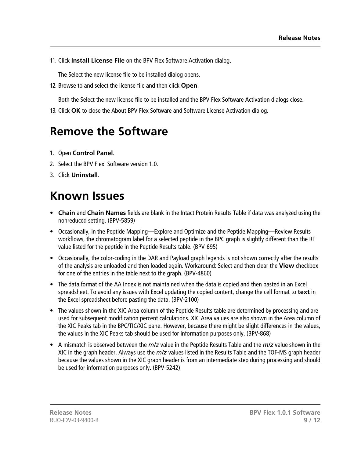11. Click **Install License File** on the BPV Flex Software Activation dialog.

The Select the new license file to be installed dialog opens.

12. Browse to and select the license file and then click **Open**.

Both the Select the new license file to be installed and the BPV Flex Software Activation dialogs close.

13. Click **OK** to close the About BPV Flex Software and Software License Activation dialog.

## **Remove the Software**

- 1. Open **Control Panel**.
- 2. Select the BPV Flex Software version 1.0.
- 3. Click **Uninstall**.

## **Known Issues**

- **Chain** and **Chain Names** fields are blank in the Intact Protein Results Table if data was analyzed using the nonreduced setting. (BPV-5859)
- Occasionally, in the Peptide Mapping—Explore and Optimize and the Peptide Mapping—Review Results workflows, the chromatogram label for a selected peptide in the BPC graph is slightly different than the RT value listed for the peptide in the Peptide Results table. (BPV-695)
- Occasionally, the color-coding in the DAR and Payload graph legends is not shown correctly after the results of the analysis are unloaded and then loaded again. Workaround: Select and then clear the **View** checkbox for one of the entries in the table next to the graph. (BPV-4860)
- The data format of the AA Index is not maintained when the data is copied and then pasted in an Excel spreadsheet. To avoid any issues with Excel updating the copied content, change the cell format to **text** in the Excel spreadsheet before pasting the data. (BPV-2100)
- The values shown in the XIC Area column of the Peptide Results table are determined by processing and are used for subsequent modification percent calculations. XIC Area values are also shown in the Area column of the XIC Peaks tab in the BPC/TIC/XIC pane. However, because there might be slight differences in the values, the values in the XIC Peaks tab should be used for information purposes only. (BPV-868)
- A mismatch is observed between the *m/z* value in the Peptide Results Table and the *m/z* value shown in the XIC in the graph header. Always use the *m/z* values listed in the Results Table and the TOF-MS graph header because the values shown in the XIC graph header is from an intermediate step during processing and should be used for information purposes only. (BPV-5242)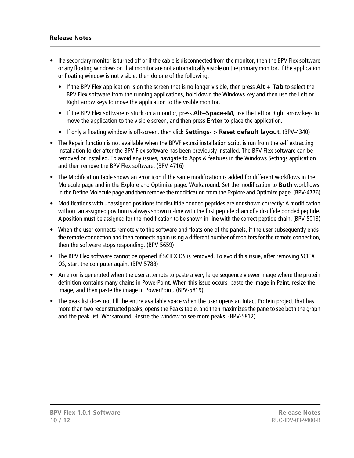#### **Release Notes**

- If a secondary monitor is turned off or if the cable is disconnected from the monitor, then the BPV Flex software or any floating windows on that monitor are not automatically visible on the primary monitor. If the application or floating window is not visible, then do one of the following:
	- If the BPV Flex application is on the screen that is no longer visible, then press **Alt + Tab** to select the BPV Flex software from the running applications, hold down the Windows key and then use the Left or Right arrow keys to move the application to the visible monitor.
	- If the BPV Flex software is stuck on a monitor, press **Alt+Space+M**, use the Left or Right arrow keys to move the application to the visible screen, and then press **Enter** to place the application.
	- If only a floating window is off-screen, then click **Settings- > Reset default layout**. (BPV-4340)
- The Repair function is not available when the BPVFlex.msi installation script is run from the self extracting installation folder after the BPV Flex software has been previously installed. The BPV Flex software can be removed or installed. To avoid any issues, navigate to Apps & features in the Windows Settings application and then remove the BPV Flex software. (BPV-4716)
- The Modification table shows an error icon if the same modification is added for different workflows in the Molecule page and in the Explore and Optimize page. Workaround: Set the modification to **Both** workflows in the Define Molecule page and then remove the modification from the Explore and Optimize page. (BPV-4776)
- Modifications with unassigned positions for disulfide bonded peptides are not shown correctly: A modification without an assigned position is always shown in-line with the first peptide chain of a disulfide bonded peptide. A position must be assigned for the modification to be shown in-line with the correct peptide chain. (BPV-5013)
- When the user connects remotely to the software and floats one of the panels, if the user subsequently ends the remote connection and then connects again using a different number of monitors for the remote connection, then the software stops responding. (BPV-5659)
- The BPV Flex software cannot be opened if SCIEX OS is removed. To avoid this issue, after removing SCIEX OS, start the computer again. (BPV-5788)
- An error is generated when the user attempts to paste a very large sequence viewer image where the protein definition contains many chains in PowerPoint. When this issue occurs, paste the image in Paint, resize the image, and then paste the image in PowerPoint. (BPV-5819)
- The peak list does not fill the entire available space when the user opens an Intact Protein project that has more than two reconstructed peaks, opens the Peaks table, and then maximizes the pane to see both the graph and the peak list. Workaround: Resize the window to see more peaks. (BPV-5812)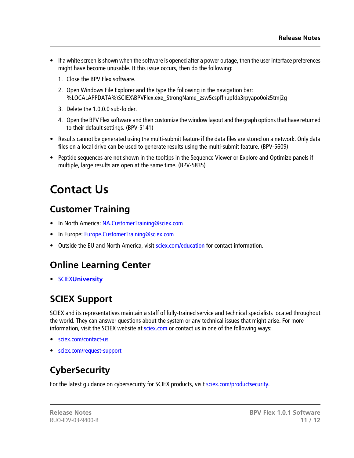- If a white screen is shown when the software is opened after a power outage, then the user interface preferences might have become unusable. It this issue occurs, then do the following:
	- 1. Close the BPV Flex software.
	- 2. Open Windows File Explorer and the type the following in the navigation bar: %LOCALAPPDATA%\SCIEX\BPVFlex.exe\_StrongName\_zsw5cspffhupfda3rpyapo0oiz5tmj2g
	- 3. Delete the 1.0.0.0 sub-folder.
	- 4. Open the BPV Flex software and then customize the window layout and the graph options that have returned to their default settings. (BPV-5141)
- Results cannot be generated using the multi-submit feature if the data files are stored on a network. Only data files on a local drive can be used to generate results using the multi-submit feature. (BPV-5609)
- Peptide sequences are not shown in the tooltips in the Sequence Viewer or Explore and Optimize panels if multiple, large results are open at the same time. (BPV-5835)

# **Contact Us**

### **Customer Training**

- In North America: [NA.CustomerTraining@sciex.com](mailto:NA.CustomerTraining@sciex.com)
- In Europe: [Europe.CustomerTraining@sciex.com](mailto:Europe.CustomerTraining@sciex.com)
- Outside the EU and North America, visit [sciex.com/education](https://sciex.com/education) for contact information.

## **Online Learning Center**

• SCIEX**[University](https://training.sciex.com)**

## **SCIEX Support**

SCIEX and its representatives maintain a staff of fully-trained service and technical specialists located throughout the world. They can answer questions about the system or any technical issues that might arise. For more information, visit the SCIEX website at [sciex.com](https://sciex.com) or contact us in one of the following ways:

- [sciex.com/contact-us](https://sciex.com/contact-us)
- [sciex.com/request-support](https://sciex.com/request-support)

## **CyberSecurity**

For the latest guidance on cybersecurity for SCIEX products, visit [sciex.com/productsecurity](https://sciex.com/productsecurity).